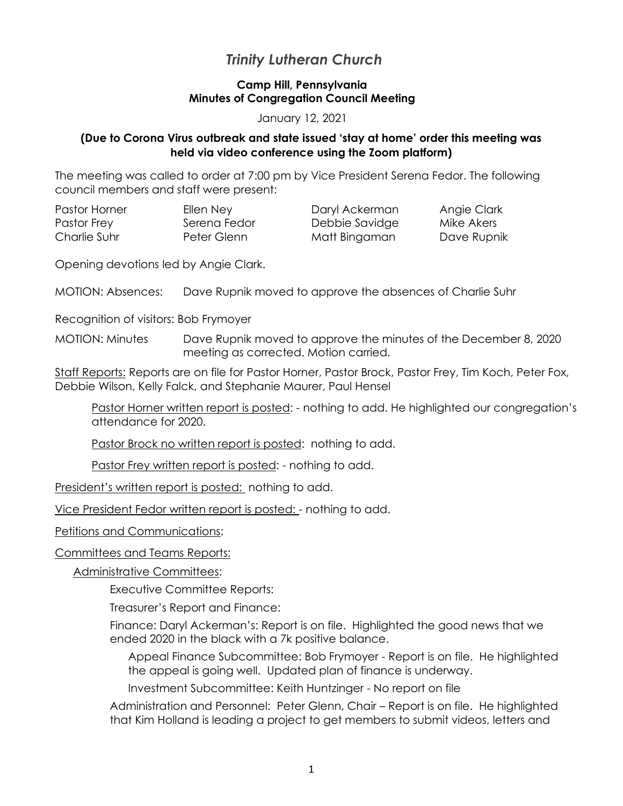# *Trinity Lutheran Church*

# **Camp Hill, Pennsylvania Minutes of Congregation Council Meeting**

#### January 12, 2021

### **(Due to Corona Virus outbreak and state issued 'stay at home' order this meeting was held via video conference using the Zoom platform)**

The meeting was called to order at 7:00 pm by Vice President Serena Fedor. The following council members and staff were present:

| Pastor Horner | Ellen Ney    | Daryl Ackerman | Angie Clark |
|---------------|--------------|----------------|-------------|
| Pastor Frey   | Serena Fedor | Debbie Savidge | Mike Akers  |
| Charlie Suhr  | Peter Glenn  | Matt Bingaman  | Dave Rupnik |

Opening devotions led by Angie Clark.

MOTION: Absences: Dave Rupnik moved to approve the absences of Charlie Suhr

Recognition of visitors: Bob Frymoyer

MOTION: Minutes Dave Rupnik moved to approve the minutes of the December 8, 2020 meeting as corrected. Motion carried.

Staff Reports: Reports are on file for Pastor Horner, Pastor Brock, Pastor Frey, Tim Koch, Peter Fox, Debbie Wilson, Kelly Falck, and Stephanie Maurer, Paul Hensel

Pastor Horner written report is posted: - nothing to add. He highlighted our congregation's attendance for 2020.

Pastor Brock no written report is posted: nothing to add.

Pastor Frey written report is posted: - nothing to add.

President's written report is posted: nothing to add.

Vice President Fedor written report is posted: - nothing to add.

Petitions and Communications:

Committees and Teams Reports:

Administrative Committees:

Executive Committee Reports:

Treasurer's Report and Finance:

Finance: Daryl Ackerman's: Report is on file. Highlighted the good news that we ended 2020 in the black with a 7k positive balance.

Appeal Finance Subcommittee: Bob Frymoyer - Report is on file. He highlighted the appeal is going well. Updated plan of finance is underway.

Investment Subcommittee: Keith Huntzinger - No report on file

Administration and Personnel: Peter Glenn, Chair – Report is on file. He highlighted that Kim Holland is leading a project to get members to submit videos, letters and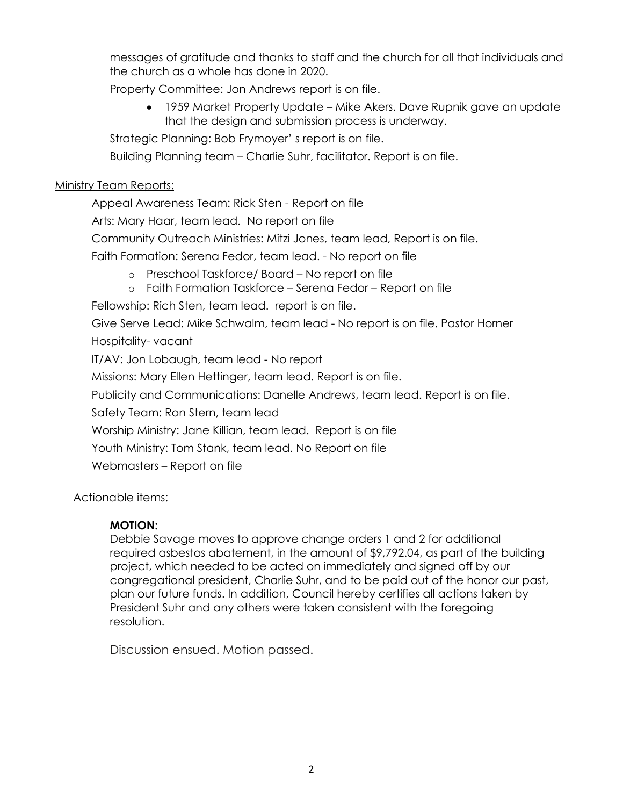messages of gratitude and thanks to staff and the church for all that individuals and the church as a whole has done in 2020.

Property Committee: Jon Andrews report is on file.

• 1959 Market Property Update – Mike Akers. Dave Rupnik gave an update that the design and submission process is underway.

Strategic Planning: Bob Frymoyer' s report is on file.

Building Planning team – Charlie Suhr, facilitator. Report is on file.

# Ministry Team Reports:

Appeal Awareness Team: Rick Sten - Report on file

Arts: Mary Haar, team lead. No report on file

Community Outreach Ministries: Mitzi Jones, team lead, Report is on file.

Faith Formation: Serena Fedor, team lead. - No report on file

- o Preschool Taskforce/ Board No report on file
- o Faith Formation Taskforce Serena Fedor Report on file

Fellowship: Rich Sten, team lead. report is on file.

Give Serve Lead: Mike Schwalm, team lead - No report is on file. Pastor Horner Hospitality- vacant

IT/AV: Jon Lobaugh, team lead - No report

Missions: Mary Ellen Hettinger, team lead. Report is on file.

Publicity and Communications: Danelle Andrews, team lead. Report is on file.

Safety Team: Ron Stern, team lead

Worship Ministry: Jane Killian, team lead. Report is on file

Youth Ministry: Tom Stank, team lead. No Report on file

Webmasters – Report on file

Actionable items:

# **MOTION:**

Debbie Savage moves to approve change orders 1 and 2 for additional required asbestos abatement, in the amount of \$9,792.04, as part of the building project, which needed to be acted on immediately and signed off by our congregational president, Charlie Suhr, and to be paid out of the honor our past, plan our future funds. In addition, Council hereby certifies all actions taken by President Suhr and any others were taken consistent with the foregoing resolution.

Discussion ensued. Motion passed.